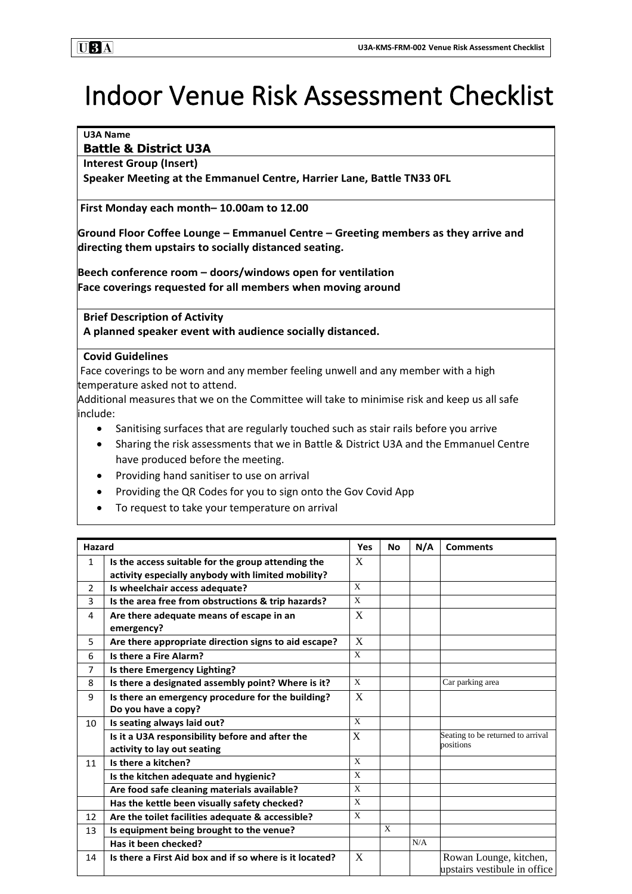# Indoor Venue Risk Assessment Checklist

#### **U3A Name**

## **Battle & District U3A**

## **Interest Group (Insert)**

**Speaker Meeting at the Emmanuel Centre, Harrier Lane, Battle TN33 0FL**

**First Monday each month– 10.00am to 12.00**

**Ground Floor Coffee Lounge – Emmanuel Centre – Greeting members as they arrive and directing them upstairs to socially distanced seating.**

**Beech conference room – doors/windows open for ventilation Face coverings requested for all members when moving around**

**Brief Description of Activity A planned speaker event with audience socially distanced.**

### **Covid Guidelines**

Face coverings to be worn and any member feeling unwell and any member with a high temperature asked not to attend.

Additional measures that we on the Committee will take to minimise risk and keep us all safe include:

- Sanitising surfaces that are regularly touched such as stair rails before you arrive
- Sharing the risk assessments that we in Battle & District U3A and the Emmanuel Centre have produced before the meeting.
- Providing hand sanitiser to use on arrival
- Providing the QR Codes for you to sign onto the Gov Covid App
- To request to take your temperature on arrival

| <b>Hazard</b>  |                                                         | <b>Yes</b>                | <b>No</b>    | N/A | <b>Comments</b>                                        |
|----------------|---------------------------------------------------------|---------------------------|--------------|-----|--------------------------------------------------------|
| $\mathbf{1}$   | Is the access suitable for the group attending the      | X                         |              |     |                                                        |
|                | activity especially anybody with limited mobility?      |                           |              |     |                                                        |
| $\overline{2}$ | Is wheelchair access adequate?                          | $\mathbf{X}$              |              |     |                                                        |
| 3              | Is the area free from obstructions & trip hazards?      | $\mathbf{X}$              |              |     |                                                        |
| 4              | Are there adequate means of escape in an                | $\boldsymbol{\mathrm{X}}$ |              |     |                                                        |
|                | emergency?                                              |                           |              |     |                                                        |
| 5              | Are there appropriate direction signs to aid escape?    | X                         |              |     |                                                        |
| 6              | Is there a Fire Alarm?                                  | X                         |              |     |                                                        |
| $\overline{7}$ | Is there Emergency Lighting?                            |                           |              |     |                                                        |
| 8              | Is there a designated assembly point? Where is it?      | $\mathbf{x}$              |              |     | Car parking area                                       |
| 9              | Is there an emergency procedure for the building?       | X                         |              |     |                                                        |
|                | Do you have a copy?                                     |                           |              |     |                                                        |
| 10             | Is seating always laid out?                             | $\mathbf{x}$              |              |     |                                                        |
|                | Is it a U3A responsibility before and after the         | $\mathbf X$               |              |     | Seating to be returned to arrival                      |
|                | activity to lay out seating                             |                           |              |     | positions                                              |
| 11             | Is there a kitchen?                                     | X                         |              |     |                                                        |
|                | Is the kitchen adequate and hygienic?                   | X                         |              |     |                                                        |
|                | Are food safe cleaning materials available?             | X                         |              |     |                                                        |
|                | Has the kettle been visually safety checked?            | X                         |              |     |                                                        |
| 12             | Are the toilet facilities adequate & accessible?        | $\mathbf{x}$              |              |     |                                                        |
| 13             | Is equipment being brought to the venue?                |                           | $\mathbf{x}$ |     |                                                        |
|                | Has it been checked?                                    |                           |              | N/A |                                                        |
| 14             | Is there a First Aid box and if so where is it located? | X                         |              |     | Rowan Lounge, kitchen,<br>upstairs vestibule in office |